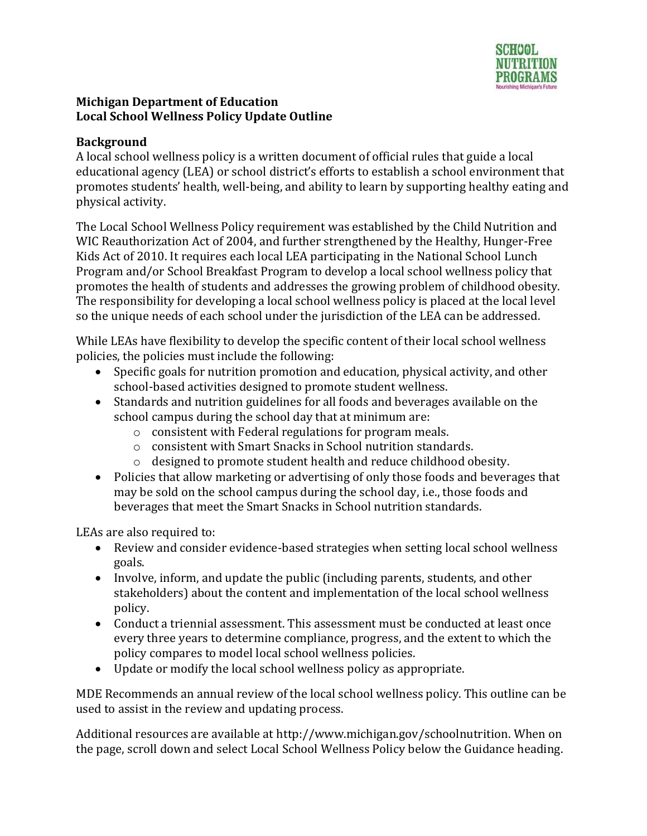

#### **Background**

A local school wellness policy is a written document of official rules that guide a local educational agency (LEA) or school district's efforts to establish a school environment that promotes students' health, well-being, and ability to learn by supporting healthy eating and physical activity.

The Local School Wellness Policy requirement was established by the Child Nutrition and WIC Reauthorization Act of 2004, and further strengthened by the Healthy, Hunger-Free Kids Act of 2010. It requires each local LEA participating in the National School Lunch Program and/or School Breakfast Program to develop a local school wellness policy that promotes the health of students and addresses the growing problem of childhood obesity. The responsibility for developing a local school wellness policy is placed at the local level so the unique needs of each school under the jurisdiction of the LEA can be addressed.

While LEAs have flexibility to develop the specific content of their local school wellness policies, the policies must include the following:

- Specific goals for nutrition promotion and education, physical activity, and other school-based activities designed to promote student wellness.
- Standards and nutrition guidelines for all foods and beverages available on the school campus during the school day that at minimum are:
	- o consistent with Federal regulations for program meals.
	- o consistent with Smart Snacks in School nutrition standards.
	- o designed to promote student health and reduce childhood obesity.
- Policies that allow marketing or advertising of only those foods and beverages that may be sold on the school campus during the school day, i.e., those foods and beverages that meet the Smart Snacks in School nutrition standards.

LEAs are also required to:

- Review and consider evidence-based strategies when setting local school wellness goals.
- Involve, inform, and update the public (including parents, students, and other stakeholders) about the content and implementation of the local school wellness policy.
- Conduct a triennial assessment. This assessment must be conducted at least once every three years to determine compliance, progress, and the extent to which the policy compares to model local school wellness policies.
- Update or modify the local school wellness policy as appropriate.

MDE Recommends an annual review of the local school wellness policy. This outline can be used to assist in the review and updating process.

Additional resources are available a[t http://www.michigan.gov/schoolnutrition.](http://www.michigan.gov/schoolnutrition) When on the page, scroll down and select Local School Wellness Policy below the Guidance heading.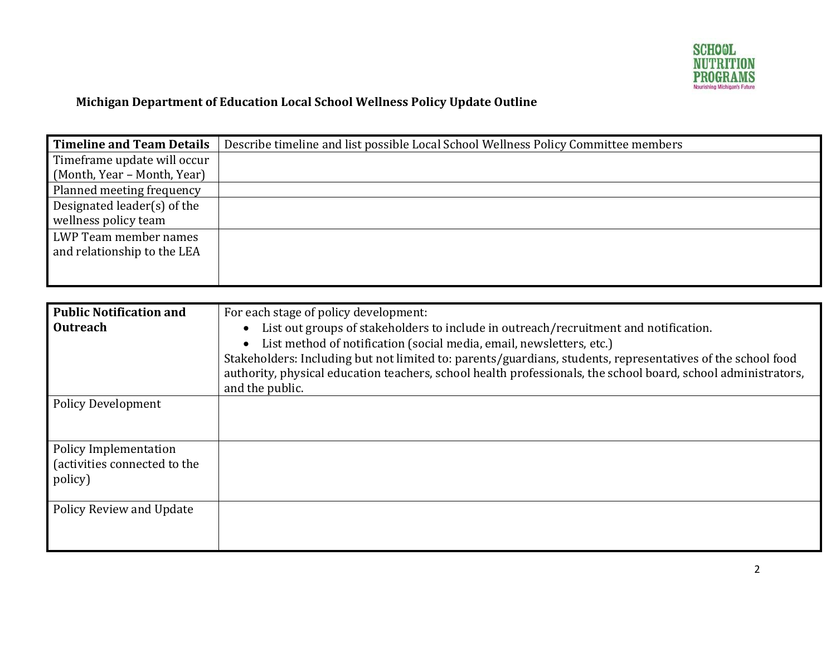

| <b>Timeline and Team Details</b> | Describe timeline and list possible Local School Wellness Policy Committee members |
|----------------------------------|------------------------------------------------------------------------------------|
| Timeframe update will occur      |                                                                                    |
| (Month, Year - Month, Year)      |                                                                                    |
| Planned meeting frequency        |                                                                                    |
| Designated leader $(s)$ of the   |                                                                                    |
| wellness policy team             |                                                                                    |
| LWP Team member names            |                                                                                    |
| and relationship to the LEA      |                                                                                    |
|                                  |                                                                                    |
|                                  |                                                                                    |
|                                  |                                                                                    |
| <b>Public Notification and</b>   | For each stage of policy development:                                              |

| Public Notification and                                          | For each stage of policy development:                                                                                                                                                                                                                                                                 |
|------------------------------------------------------------------|-------------------------------------------------------------------------------------------------------------------------------------------------------------------------------------------------------------------------------------------------------------------------------------------------------|
| <b>Outreach</b>                                                  | List out groups of stakeholders to include in outreach/recruitment and notification.<br>$\bullet$<br>List method of notification (social media, email, newsletters, etc.)<br>$\bullet$<br>Stakeholders: Including but not limited to: parents/guardians, students, representatives of the school food |
|                                                                  | authority, physical education teachers, school health professionals, the school board, school administrators,<br>and the public.                                                                                                                                                                      |
| <b>Policy Development</b>                                        |                                                                                                                                                                                                                                                                                                       |
| Policy Implementation<br>(activities connected to the<br>policy) |                                                                                                                                                                                                                                                                                                       |
| Policy Review and Update                                         |                                                                                                                                                                                                                                                                                                       |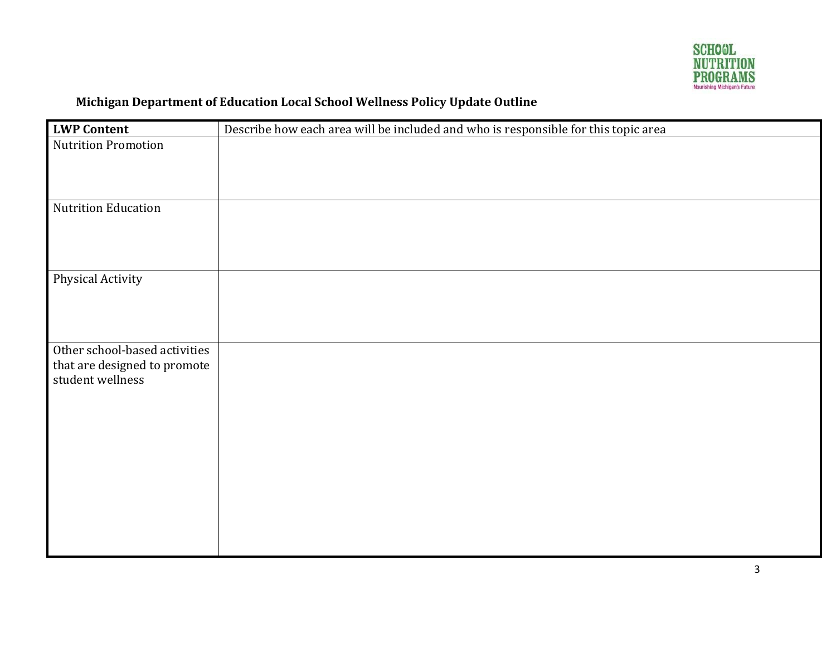

| <b>LWP Content</b>                                                                | Describe how each area will be included and who is responsible for this topic area |
|-----------------------------------------------------------------------------------|------------------------------------------------------------------------------------|
| <b>Nutrition Promotion</b>                                                        |                                                                                    |
| Nutrition Education                                                               |                                                                                    |
| <b>Physical Activity</b>                                                          |                                                                                    |
| Other school-based activities<br>that are designed to promote<br>student wellness |                                                                                    |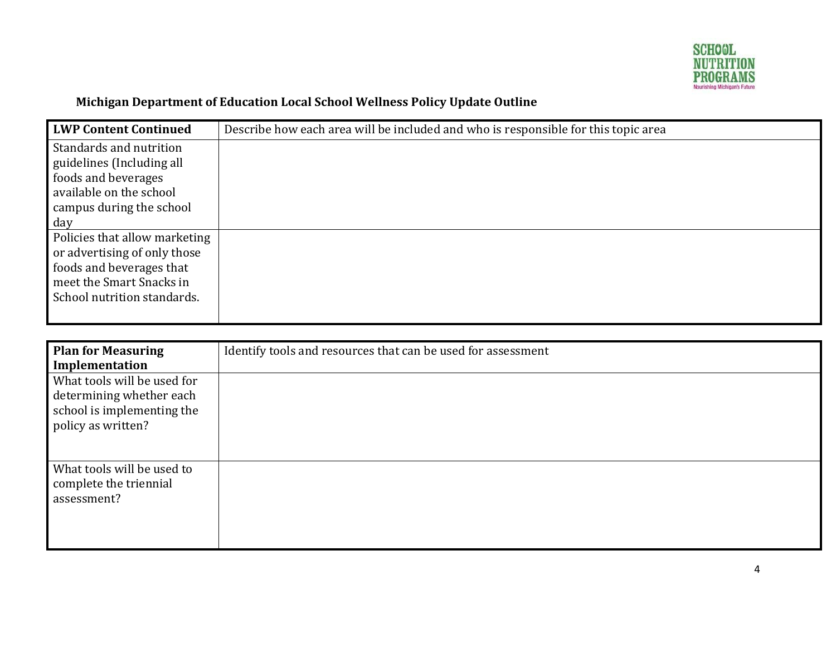

| <b>LWP Content Continued</b>  | Describe how each area will be included and who is responsible for this topic area |
|-------------------------------|------------------------------------------------------------------------------------|
| Standards and nutrition       |                                                                                    |
| guidelines (Including all     |                                                                                    |
| foods and beverages           |                                                                                    |
| available on the school       |                                                                                    |
| campus during the school      |                                                                                    |
| day                           |                                                                                    |
| Policies that allow marketing |                                                                                    |
| or advertising of only those  |                                                                                    |
| foods and beverages that      |                                                                                    |
| meet the Smart Snacks in      |                                                                                    |
| School nutrition standards.   |                                                                                    |
|                               |                                                                                    |

| <b>Plan for Measuring</b><br>Implementation                                                                 | Identify tools and resources that can be used for assessment |
|-------------------------------------------------------------------------------------------------------------|--------------------------------------------------------------|
| What tools will be used for<br>determining whether each<br>school is implementing the<br>policy as written? |                                                              |
| What tools will be used to<br>complete the triennial<br>assessment?                                         |                                                              |